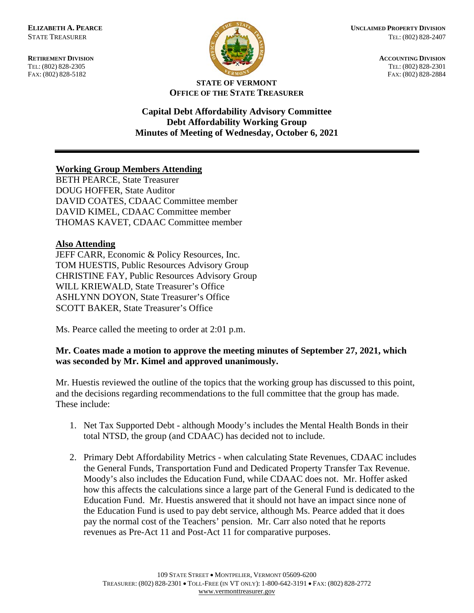FAX: (802) 828-5182



**RETIREMENT DIVISION ACCOUNTING DIVISION** TEL: (802) 828-2305<br>
FAX: (802) 828-2305<br>
FAX: (802) 828-2884<br>
TEL: (802) 828-2884

## **STATE OF VERMONT OFFICE OF THE STATE TREASURER**

**Capital Debt Affordability Advisory Committee Debt Affordability Working Group Minutes of Meeting of Wednesday, October 6, 2021**

## **Working Group Members Attending**

BETH PEARCE, State Treasurer DOUG HOFFER, State Auditor DAVID COATES, CDAAC Committee member DAVID KIMEL, CDAAC Committee member THOMAS KAVET, CDAAC Committee member

## **Also Attending**

JEFF CARR, Economic & Policy Resources, Inc. TOM HUESTIS, Public Resources Advisory Group CHRISTINE FAY, Public Resources Advisory Group WILL KRIEWALD, State Treasurer's Office ASHLYNN DOYON, State Treasurer's Office SCOTT BAKER, State Treasurer's Office

Ms. Pearce called the meeting to order at 2:01 p.m.

## **Mr. Coates made a motion to approve the meeting minutes of September 27, 2021, which was seconded by Mr. Kimel and approved unanimously.**

Mr. Huestis reviewed the outline of the topics that the working group has discussed to this point, and the decisions regarding recommendations to the full committee that the group has made. These include:

- 1. Net Tax Supported Debt although Moody's includes the Mental Health Bonds in their total NTSD, the group (and CDAAC) has decided not to include.
- 2. Primary Debt Affordability Metrics when calculating State Revenues, CDAAC includes the General Funds, Transportation Fund and Dedicated Property Transfer Tax Revenue. Moody's also includes the Education Fund, while CDAAC does not. Mr. Hoffer asked how this affects the calculations since a large part of the General Fund is dedicated to the Education Fund. Mr. Huestis answered that it should not have an impact since none of the Education Fund is used to pay debt service, although Ms. Pearce added that it does pay the normal cost of the Teachers' pension. Mr. Carr also noted that he reports revenues as Pre-Act 11 and Post-Act 11 for comparative purposes.